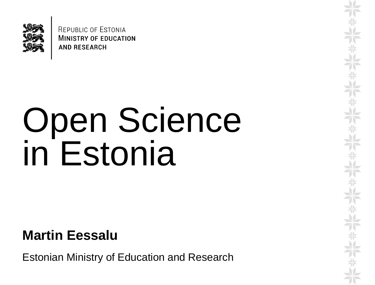

**REPUBLIC OF ESTONIA MINISTRY OF EDUCATION AND RESEARCH** 

# Open Science in Estonia

**Martin Eessalu**

Estonian Ministry of Education and Research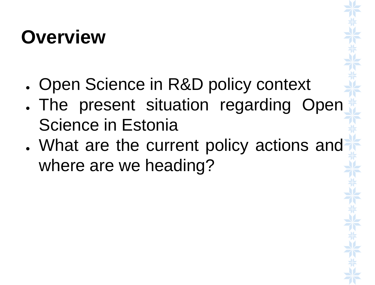### **Overview**

- . Open Science in R&D policy context
- . The present situation regarding Open Science in Estonia
- What are the current policy actions and where are we heading?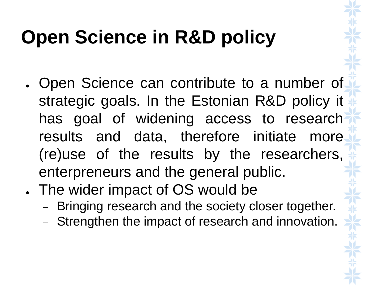## **Open Science in R&D policy**

- Open Science can contribute to a number of strategic goals. In the Estonian R&D policy it has goal of widening access to research results and data, therefore initiate more (re)use of the results by the researchers, enterpreneurs and the general public.
- . The wider impact of OS would be
	- Bringing research and the society closer together.
	- Strengthen the impact of research and innovation.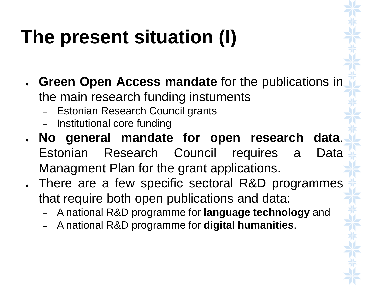## **The present situation (I)**

- **Green Open Access mandate** for the publications in the main research funding instuments
	- Estonian Research Council grants
	- Institutional core funding
- **No general mandate for open research data**. Estonian Research Council requires a Data Managment Plan for the grant applications.
- . There are a few specific sectoral R&D programmes that require both open publications and data:
	- A national R&D programme for **language technology** and
	- A national R&D programme for **digital humanities**.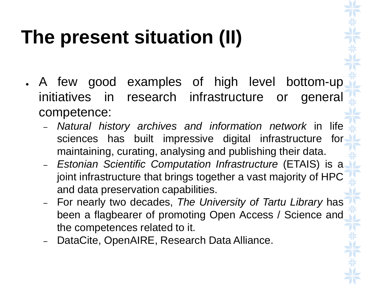## **The present situation (II)**

- . A few good examples of high level bottom-up initiatives in research infrastructure or general competence:
	- *Natural history archives and information network* in life sciences has built impressive digital infrastructure for maintaining, curating, analysing and publishing their data.
	- *Estonian Scientific Computation Infrastructure* (ETAIS) is a joint infrastructure that brings together a vast majority of HPC and data preservation capabilities.
	- For nearly two decades, *The University of Tartu Library* has been a flagbearer of promoting Open Access / Science and the competences related to it.
	- DataCite, OpenAIRE, Research Data Alliance.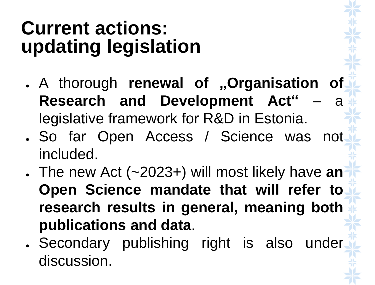### **Current actions: updating legislation**

- A thorough **renewal of "Organisation of Research and Development Act"** – a legislative framework for R&D in Estonia.
- . So far Open Access / Science was not included.
- The new Act (~2023+) will most likely have **an Open Science mandate that will refer to research results in general, meaning both publications and data**.
- . Secondary publishing right is also under discussion.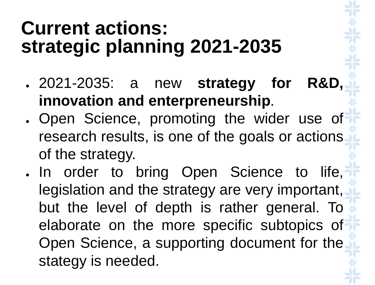#### **Current actions: strategic planning 2021-2035**

- 2021-2035: a new **strategy for R&D, innovation and enterpreneurship**.
- . Open Science, promoting the wider use of research results, is one of the goals or actions of the strategy.
- . In order to bring Open Science to life, legislation and the strategy are very important, but the level of depth is rather general. To elaborate on the more specific subtopics of Open Science, a supporting document for the stategy is needed.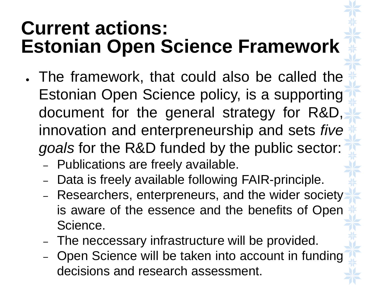### **Current actions: Estonian Open Science Framework**

- . The framework, that could also be called the Estonian Open Science policy, is a supporting document for the general strategy for R&D, innovation and enterpreneurship and sets *five goals* for the R&D funded by the public sector:
	- Publications are freely available.
	- Data is freely available following FAIR-principle.
	- Researchers, enterpreneurs, and the wider society is aware of the essence and the benefits of Open Science.
	- The neccessary infrastructure will be provided.
	- Open Science will be taken into account in funding decisions and research assessment.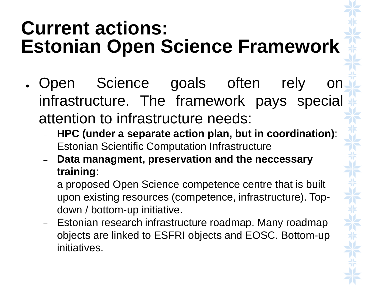### **Current actions: Estonian Open Science Framework**

- Open Science goals often rely infrastructure. The framework pays special attention to infrastructure needs:
	- **HPC (under a separate action plan, but in coordination)**: Estonian Scientific Computation Infrastructure
	- **Data managment, preservation and the neccessary training**:

a proposed Open Science competence centre that is built upon existing resources (competence, infrastructure). Topdown / bottom-up initiative.

– Estonian research infrastructure roadmap. Many roadmap objects are linked to ESFRI objects and EOSC. Bottom-up initiatives.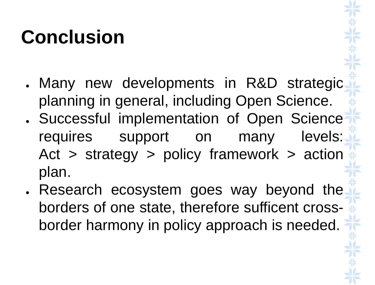## **Conclusion**

- . Many new developments in R&D strategic planning in general, including Open Science.
- . Successful implementation of Open Science requires support on many levels: Act > strategy > policy framework > action plan.
- . Research ecosystem goes way beyond the borders of one state, therefore sufficent crossborder harmony in policy approach is needed.